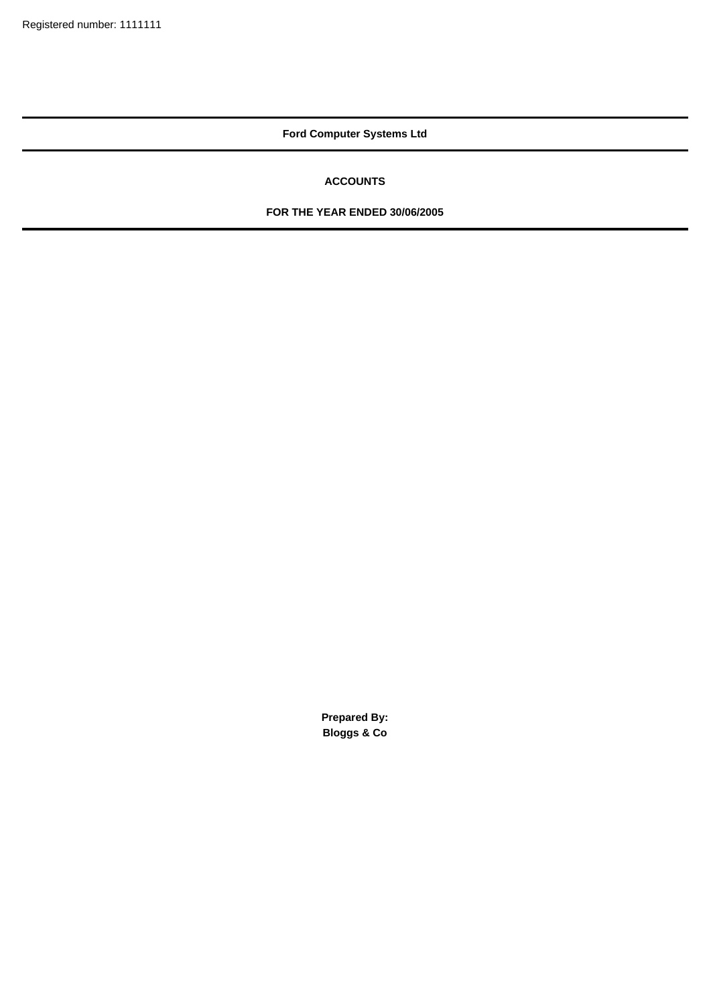## **ACCOUNTS**

### **FOR THE YEAR ENDED 30/06/2005**

**Prepared By: Bloggs & Co**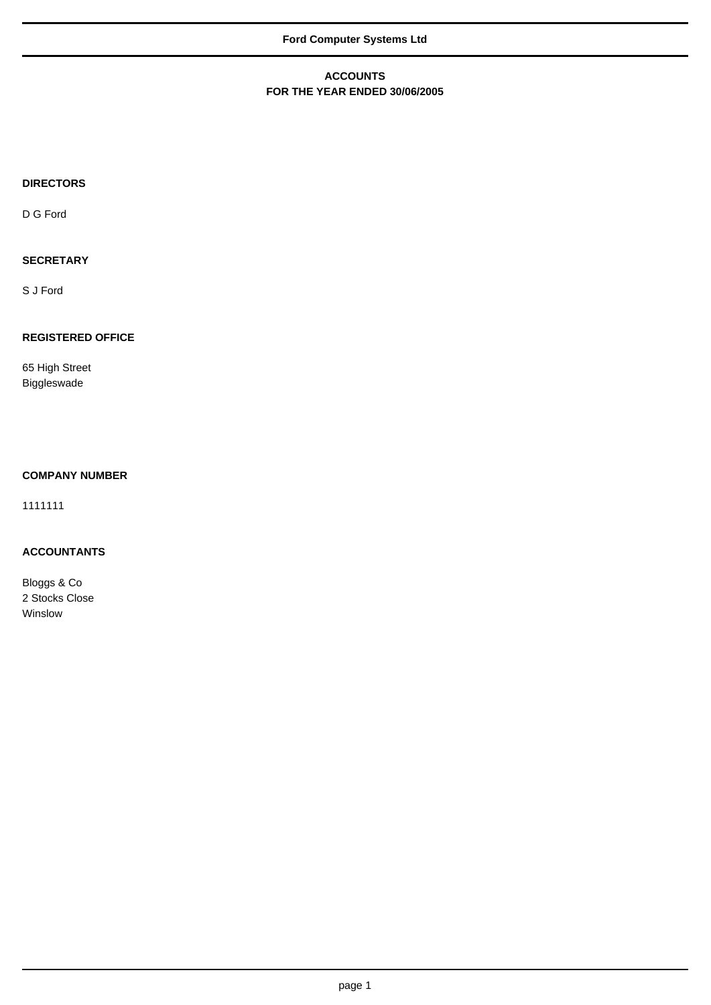### **ACCOUNTS FOR THE YEAR ENDED 30/06/2005**

# **DIRECTORS**

D G Ford

## **SECRETARY**

S J Ford

## **REGISTERED OFFICE**

65 High Street Biggleswade

### **COMPANY NUMBER**

1111111

### **ACCOUNTANTS**

Bloggs & Co 2 Stocks Close Winslow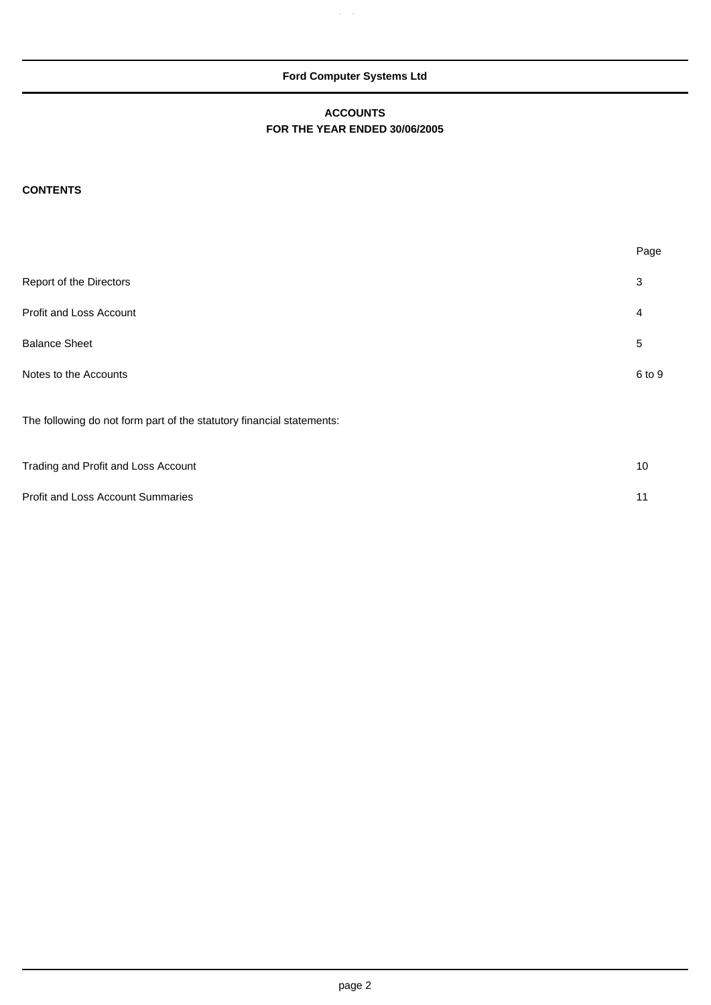$\alpha$ 

## **ACCOUNTS FOR THE YEAR ENDED 30/06/2005**

## **CONTENTS**

|                                                                       | Page           |
|-----------------------------------------------------------------------|----------------|
| Report of the Directors                                               | 3              |
| Profit and Loss Account                                               | 4              |
| <b>Balance Sheet</b>                                                  | $\overline{5}$ |
| Notes to the Accounts                                                 | 6 to 9         |
| The following do not form part of the statutory financial statements: |                |
| Trading and Profit and Loss Account                                   | 10             |

| Profit and Loss Account Summaries | 11 |
|-----------------------------------|----|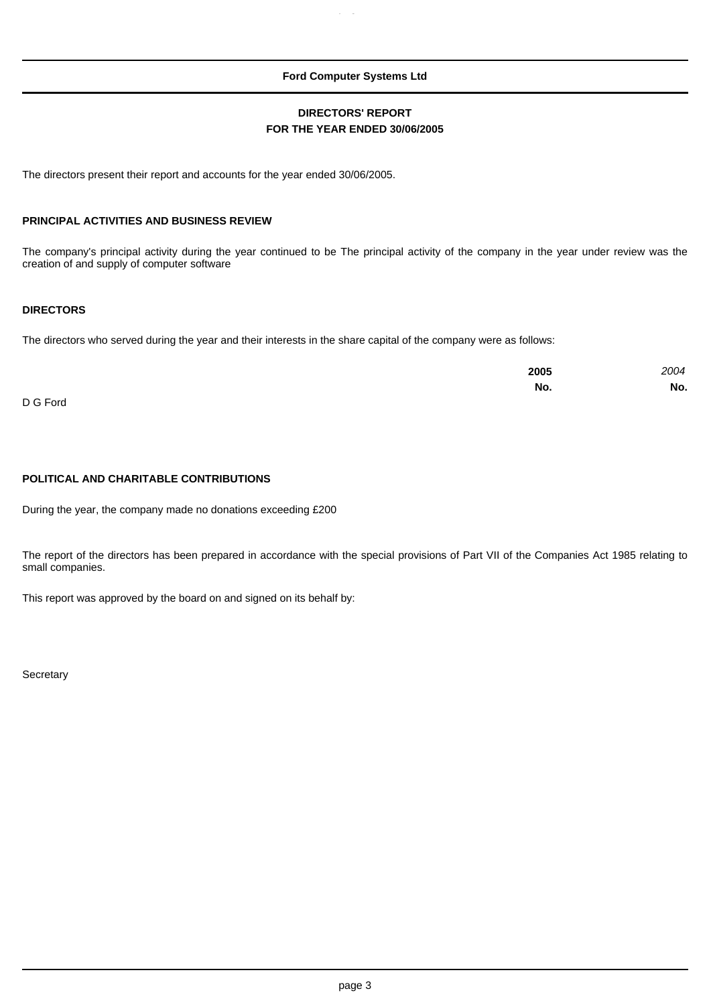### **DIRECTORS' REPORT FOR THE YEAR ENDED 30/06/2005**

The directors present their report and accounts for the year ended 30/06/2005.

#### **PRINCIPAL ACTIVITIES AND BUSINESS REVIEW**

The company's principal activity during the year continued to be The principal activity of the company in the year under review was the creation of and supply of computer software

### **DIRECTORS**

The directors who served during the year and their interests in the share capital of the company were as follows:

|            | 2005 | 2004 |
|------------|------|------|
|            | No.  | No.  |
| $R^{\sim}$ |      |      |

D G Ford

#### **POLITICAL AND CHARITABLE CONTRIBUTIONS**

During the year, the company made no donations exceeding £200

The report of the directors has been prepared in accordance with the special provisions of Part VII of the Companies Act 1985 relating to small companies.

This report was approved by the board on and signed on its behalf by:

**Secretary**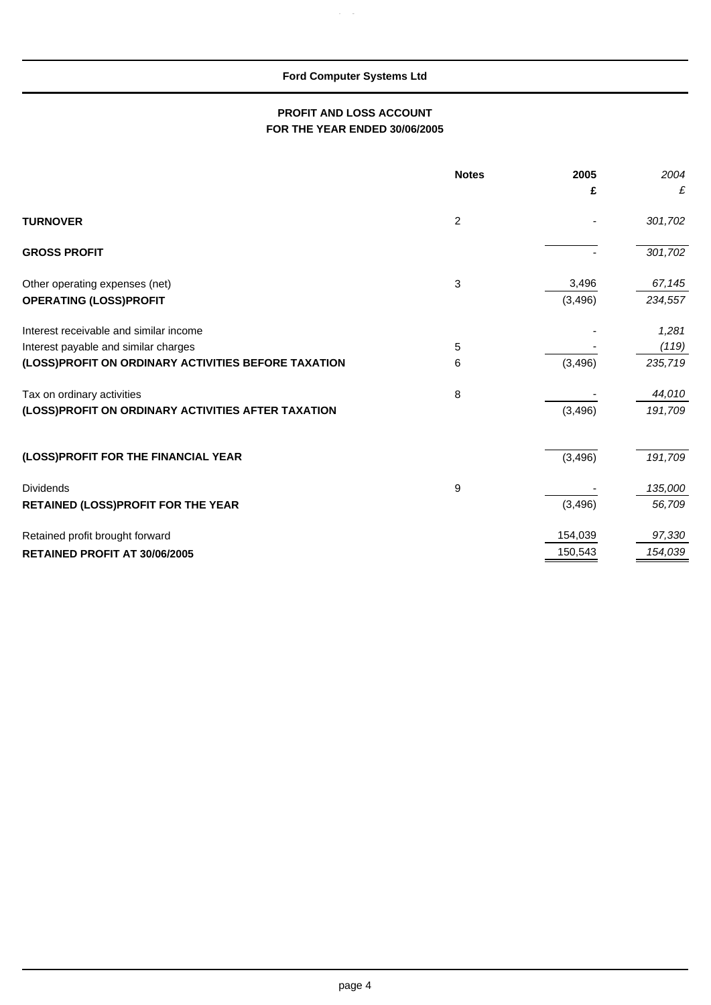$\hat{p}_i$  g  $\hat{q}_j$ 

## **PROFIT AND LOSS ACCOUNT FOR THE YEAR ENDED 30/06/2005**

|                                                     | <b>Notes</b> | 2005     | 2004    |
|-----------------------------------------------------|--------------|----------|---------|
|                                                     |              | £        | £       |
| <b>TURNOVER</b>                                     | 2            |          | 301,702 |
| <b>GROSS PROFIT</b>                                 |              |          | 301,702 |
| Other operating expenses (net)                      | 3            | 3,496    | 67,145  |
| <b>OPERATING (LOSS)PROFIT</b>                       |              | (3, 496) | 234,557 |
| Interest receivable and similar income              |              |          | 1,281   |
| Interest payable and similar charges                | 5            |          | (119)   |
| (LOSS)PROFIT ON ORDINARY ACTIVITIES BEFORE TAXATION | 6            | (3, 496) | 235,719 |
| Tax on ordinary activities                          | 8            |          | 44,010  |
| (LOSS)PROFIT ON ORDINARY ACTIVITIES AFTER TAXATION  |              | (3, 496) | 191,709 |
|                                                     |              |          |         |
| (LOSS)PROFIT FOR THE FINANCIAL YEAR                 |              | (3, 496) | 191,709 |
| <b>Dividends</b>                                    | 9            |          | 135,000 |
| <b>RETAINED (LOSS)PROFIT FOR THE YEAR</b>           |              | (3, 496) | 56,709  |
| Retained profit brought forward                     |              | 154,039  | 97,330  |
| <b>RETAINED PROFIT AT 30/06/2005</b>                |              | 150,543  | 154,039 |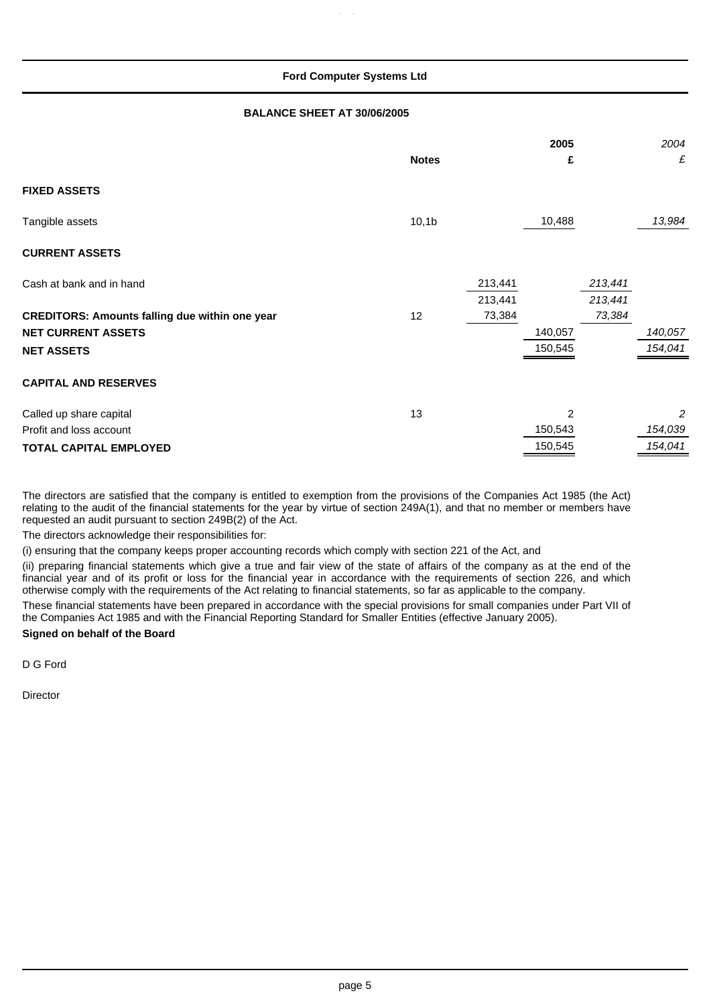#### **BALANCE SHEET AT 30/06/2005**

|                                                       | <b>Notes</b>      |                    | 2005<br>£      |                    | 2004<br>£ |
|-------------------------------------------------------|-------------------|--------------------|----------------|--------------------|-----------|
| <b>FIXED ASSETS</b>                                   |                   |                    |                |                    |           |
| Tangible assets                                       | 10,1 <sub>b</sub> |                    | 10,488         |                    | 13,984    |
| <b>CURRENT ASSETS</b>                                 |                   |                    |                |                    |           |
| Cash at bank and in hand                              |                   | 213,441<br>213,441 |                | 213,441<br>213,441 |           |
| <b>CREDITORS: Amounts falling due within one year</b> | 12                | 73,384             |                | 73,384             |           |
| <b>NET CURRENT ASSETS</b>                             |                   |                    | 140,057        |                    | 140,057   |
| <b>NET ASSETS</b>                                     |                   |                    | 150,545        |                    | 154,041   |
| <b>CAPITAL AND RESERVES</b>                           |                   |                    |                |                    |           |
| Called up share capital                               | 13                |                    | $\overline{2}$ |                    | 2         |
| Profit and loss account                               |                   |                    | 150,543        |                    | 154,039   |
| <b>TOTAL CAPITAL EMPLOYED</b>                         |                   |                    | 150,545        |                    | 154,041   |

The directors are satisfied that the company is entitled to exemption from the provisions of the Companies Act 1985 (the Act) relating to the audit of the financial statements for the year by virtue of section 249A(1), and that no member or members have requested an audit pursuant to section 249B(2) of the Act.

The directors acknowledge their responsibilities for:

(i) ensuring that the company keeps proper accounting records which comply with section 221 of the Act, and

(ii) preparing financial statements which give a true and fair view of the state of affairs of the company as at the end of the financial year and of its profit or loss for the financial year in accordance with the requirements of section 226, and which otherwise comply with the requirements of the Act relating to financial statements, so far as applicable to the company.

These financial statements have been prepared in accordance with the special provisions for small companies under Part VII of the Companies Act 1985 and with the Financial Reporting Standard for Smaller Entities (effective January 2005).

### **Signed on behalf of the Board**

D G Ford

**Director**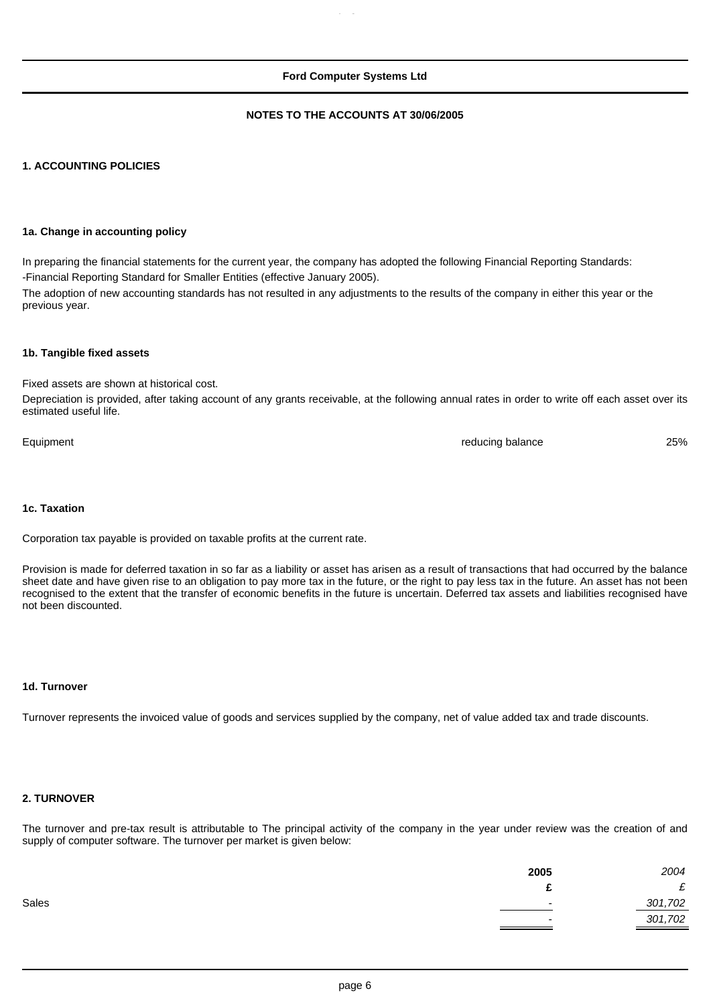#### **NOTES TO THE ACCOUNTS AT 30/06/2005**

#### **1. ACCOUNTING POLICIES**

#### **1a. Change in accounting policy**

In preparing the financial statements for the current year, the company has adopted the following Financial Reporting Standards: -Financial Reporting Standard for Smaller Entities (effective January 2005).

The adoption of new accounting standards has not resulted in any adjustments to the results of the company in either this year or the previous year.

#### **1b. Tangible fixed assets**

Fixed assets are shown at historical cost.

Depreciation is provided, after taking account of any grants receivable, at the following annual rates in order to write off each asset over its estimated useful life.

Equipment 25% and 25% and 25% and 25% and 25% and 25% and 25% and 25% and 25% and 25% and 25% and 25% and 25% and 25% and 25% and 25% and 25% and 25% and 25% and 25% and 25% and 25% and 25% and 25% and 25% and 25% and 25%

#### **1c. Taxation**

Corporation tax payable is provided on taxable profits at the current rate.

Provision is made for deferred taxation in so far as a liability or asset has arisen as a result of transactions that had occurred by the balance sheet date and have given rise to an obligation to pay more tax in the future, or the right to pay less tax in the future. An asset has not been recognised to the extent that the transfer of economic benefits in the future is uncertain. Deferred tax assets and liabilities recognised have not been discounted.

#### **1d. Turnover**

Turnover represents the invoiced value of goods and services supplied by the company, net of value added tax and trade discounts.

#### **2. TURNOVER**

The turnover and pre-tax result is attributable to The principal activity of the company in the year under review was the creation of and supply of computer software. The turnover per market is given below:

| 2005  | 2004                                |
|-------|-------------------------------------|
|       | c<br>~                              |
| Sales | 301,702                             |
|       | 301,702<br>$\overline{\phantom{0}}$ |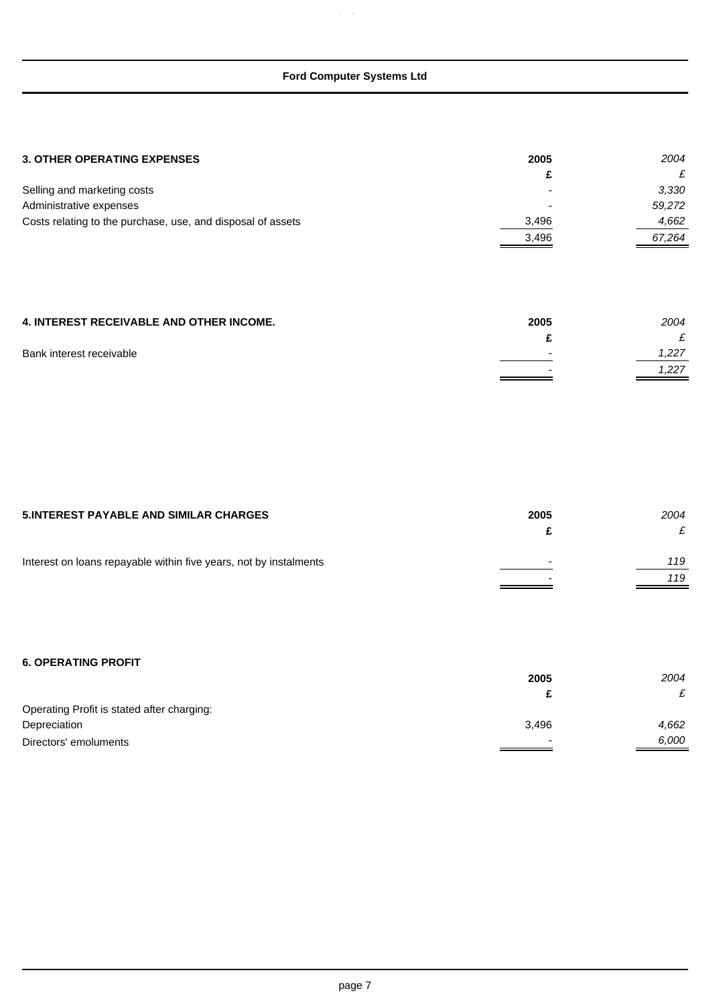$\mu_{\rm c}$  g  $\mu$ 

| c     | £      |
|-------|--------|
|       | 3,330  |
|       | 59,272 |
| 3,496 | 4,662  |
| 3,496 | 67,264 |
|       |        |

| <b>4. INTEREST RECEIVABLE AND OTHER INCOME.</b> | 2005 | 2004  |
|-------------------------------------------------|------|-------|
|                                                 |      |       |
| Bank interest receivable                        | -    | 1.227 |
|                                                 |      | 1.227 |

| <b>5.INTEREST PAYABLE AND SIMILAR CHARGES</b>                     | 2005 | 2004 |
|-------------------------------------------------------------------|------|------|
|                                                                   |      |      |
| Interest on loans repayable within five years, not by instalments | -    | 119  |
|                                                                   |      | 119  |

## **6. OPERATING PROFIT**

|                                            | 2005                     | 2004                   |
|--------------------------------------------|--------------------------|------------------------|
|                                            |                          | t.                     |
| Operating Profit is stated after charging: |                          |                        |
| Depreciation                               | 3.496                    | 4,662                  |
| Directors' emoluments                      | $\overline{\phantom{0}}$ | 6,000<br>$\sim$ $\sim$ |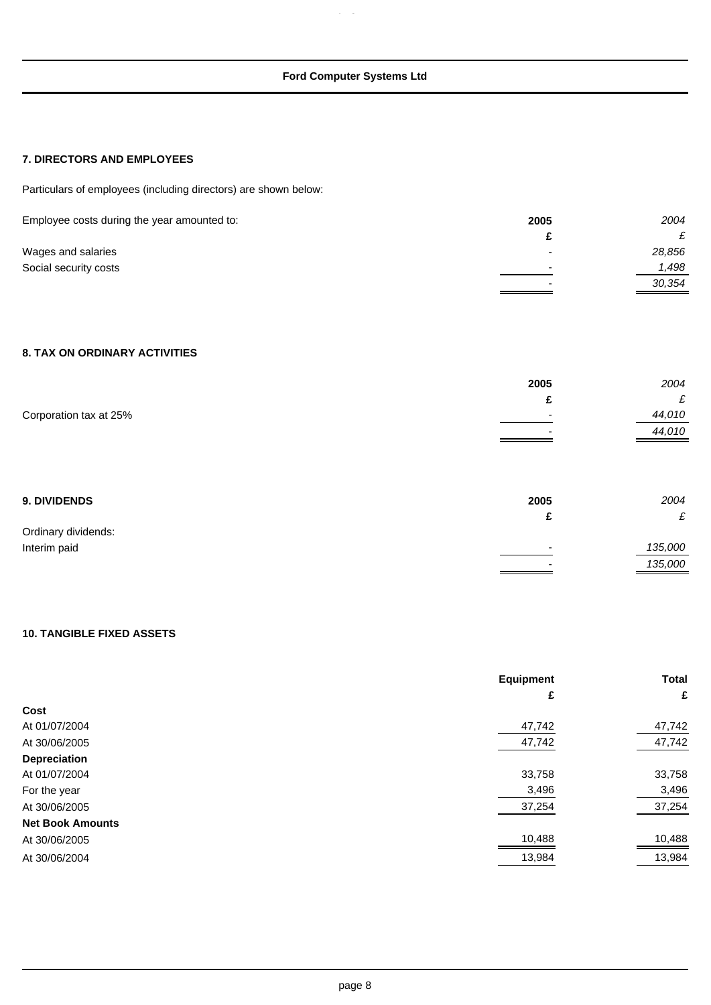$\overline{a}$ 

### **7. DIRECTORS AND EMPLOYEES**

Particulars of employees (including directors) are shown below:

| Employee costs during the year amounted to: | 2005                     | 2004   |
|---------------------------------------------|--------------------------|--------|
|                                             |                          |        |
| Wages and salaries                          | $\overline{\phantom{0}}$ | 28,856 |
| Social security costs                       | $\overline{\phantom{0}}$ | 1,498  |
|                                             | $\overline{\phantom{0}}$ | 30,354 |

## **8. TAX ON ORDINARY ACTIVITIES**

|                        | 2005 | 2004    |
|------------------------|------|---------|
|                        | £    | £       |
| Corporation tax at 25% |      | 44,010  |
|                        |      | 44,010  |
|                        |      |         |
| 9. DIVIDENDS           | 2005 | 2004    |
|                        | £    | £       |
| Ordinary dividends:    |      |         |
| Interim paid           |      | 135,000 |
|                        |      | 135,000 |

### **10. TANGIBLE FIXED ASSETS**

|                         | Equipment | <b>Total</b> |
|-------------------------|-----------|--------------|
|                         | £         | £            |
| Cost                    |           |              |
| At 01/07/2004           | 47,742    | 47,742       |
| At 30/06/2005           | 47,742    | 47,742       |
| Depreciation            |           |              |
| At 01/07/2004           | 33,758    | 33,758       |
| For the year            | 3,496     | 3,496        |
| At 30/06/2005           | 37,254    | 37,254       |
| <b>Net Book Amounts</b> |           |              |
| At 30/06/2005           | 10,488    | 10,488       |
| At 30/06/2004           | 13,984    | 13,984       |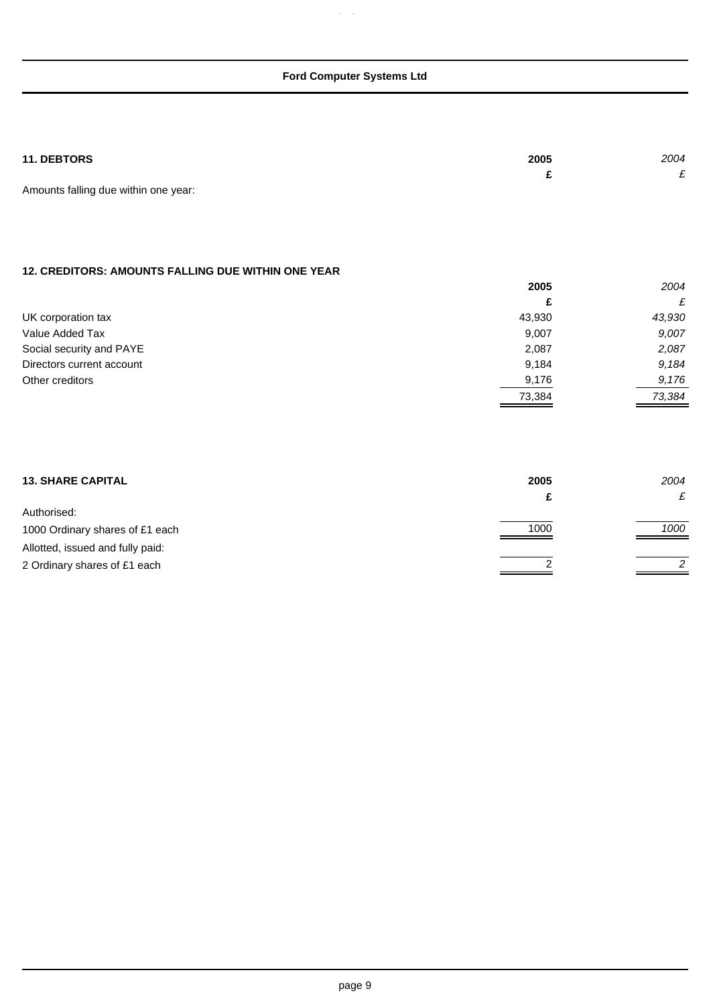$\alpha$ 

| <b>11. DEBTORS</b>                   | 2005 | 2004 |
|--------------------------------------|------|------|
|                                      |      |      |
| Amounts falling due within one year: |      |      |

## **12. CREDITORS: AMOUNTS FALLING DUE WITHIN ONE YEAR**

|                           | 2005   | 2004   |
|---------------------------|--------|--------|
|                           | £      | £      |
| UK corporation tax        | 43,930 | 43,930 |
| Value Added Tax           | 9,007  | 9,007  |
| Social security and PAYE  | 2,087  | 2,087  |
| Directors current account | 9,184  | 9.184  |
| Other creditors           | 9,176  | 9,176  |
|                           | 73,384 | 73.384 |

| <b>13. SHARE CAPITAL</b>         | 2005 | 2004 |
|----------------------------------|------|------|
|                                  |      |      |
| Authorised:                      |      |      |
| 1000 Ordinary shares of £1 each  | 1000 | 1000 |
| Allotted, issued and fully paid: |      |      |
| 2 Ordinary shares of £1 each     |      | 2    |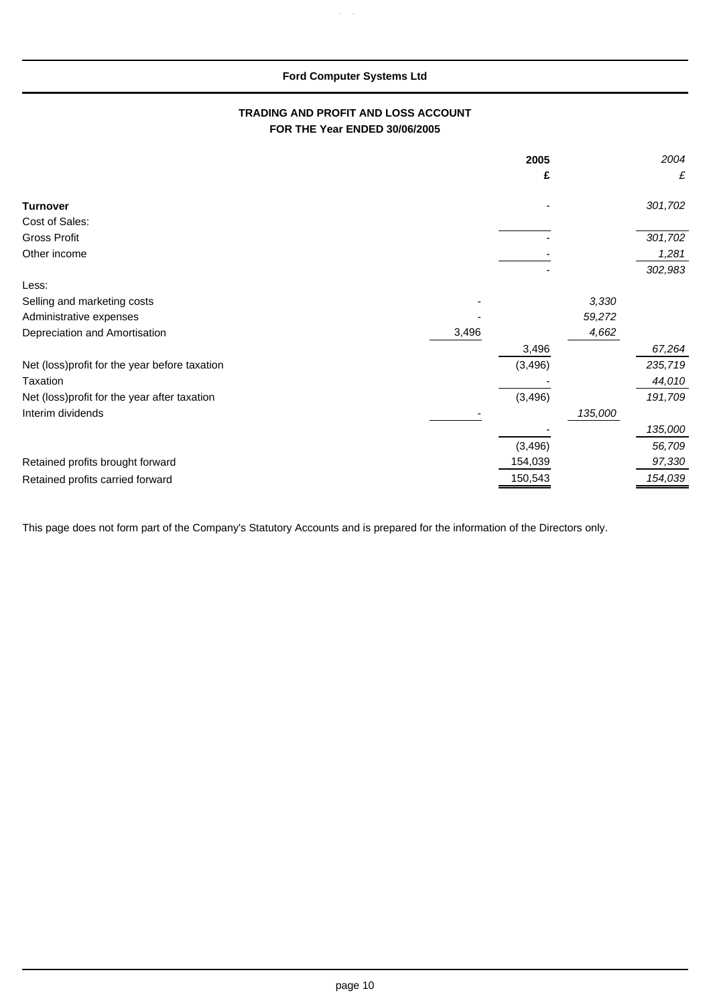p g

### **TRADING AND PROFIT AND LOSS ACCOUNT FOR THE Year ENDED 30/06/2005**

|                                                |       | 2005<br>£ |         | 2004<br>£ |
|------------------------------------------------|-------|-----------|---------|-----------|
| <b>Turnover</b>                                |       |           |         | 301,702   |
| Cost of Sales:                                 |       |           |         |           |
| <b>Gross Profit</b>                            |       |           |         | 301,702   |
| Other income                                   |       |           |         | 1,281     |
|                                                |       |           |         | 302,983   |
| Less:                                          |       |           |         |           |
| Selling and marketing costs                    |       |           | 3,330   |           |
| Administrative expenses                        |       |           | 59,272  |           |
| Depreciation and Amortisation                  | 3,496 |           | 4,662   |           |
|                                                |       | 3,496     |         | 67,264    |
| Net (loss) profit for the year before taxation |       | (3, 496)  |         | 235,719   |
| Taxation                                       |       |           |         | 44,010    |
| Net (loss) profit for the year after taxation  |       | (3, 496)  |         | 191,709   |
| Interim dividends                              |       |           | 135,000 |           |
|                                                |       |           |         | 135,000   |
|                                                |       | (3, 496)  |         | 56,709    |
| Retained profits brought forward               |       | 154,039   |         | 97,330    |
| Retained profits carried forward               |       | 150,543   |         | 154,039   |

This page does not form part of the Company's Statutory Accounts and is prepared for the information of the Directors only.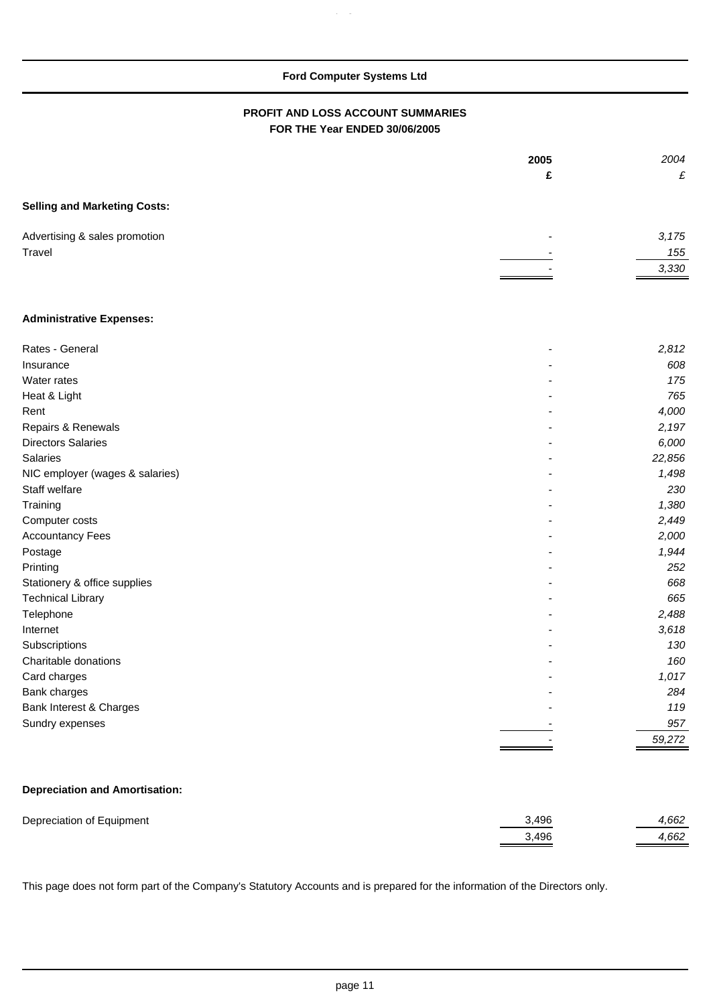p g

### **PROFIT AND LOSS ACCOUNT SUMMARIES FOR THE Year ENDED 30/06/2005**

|                                       | 2005 | 2004   |
|---------------------------------------|------|--------|
|                                       | £    | £      |
| <b>Selling and Marketing Costs:</b>   |      |        |
| Advertising & sales promotion         |      | 3,175  |
| Travel                                |      | 155    |
|                                       |      | 3,330  |
| <b>Administrative Expenses:</b>       |      |        |
| Rates - General                       |      | 2,812  |
| Insurance                             |      | 608    |
| Water rates                           |      | 175    |
| Heat & Light                          |      | 765    |
| Rent                                  |      | 4,000  |
| Repairs & Renewals                    |      | 2,197  |
| <b>Directors Salaries</b>             |      | 6,000  |
| Salaries                              |      | 22,856 |
| NIC employer (wages & salaries)       |      | 1,498  |
| Staff welfare                         |      | 230    |
| Training                              |      | 1,380  |
| Computer costs                        |      | 2,449  |
| <b>Accountancy Fees</b>               |      | 2,000  |
| Postage                               |      | 1,944  |
| Printing                              |      | 252    |
| Stationery & office supplies          |      | 668    |
| <b>Technical Library</b>              |      | 665    |
| Telephone                             |      | 2,488  |
| Internet                              |      | 3,618  |
| Subscriptions                         |      | 130    |
| Charitable donations                  |      | 160    |
| Card charges                          |      | 1,017  |
| Bank charges                          |      | 284    |
| Bank Interest & Charges               |      | 119    |
| Sundry expenses                       |      | 957    |
|                                       |      | 59,272 |
| <b>Depreciation and Amortisation:</b> |      |        |

| Depreciation of Equipment | 3.496 | .662 |
|---------------------------|-------|------|
|                           | 3.496 | .662 |

This page does not form part of the Company's Statutory Accounts and is prepared for the information of the Directors only.